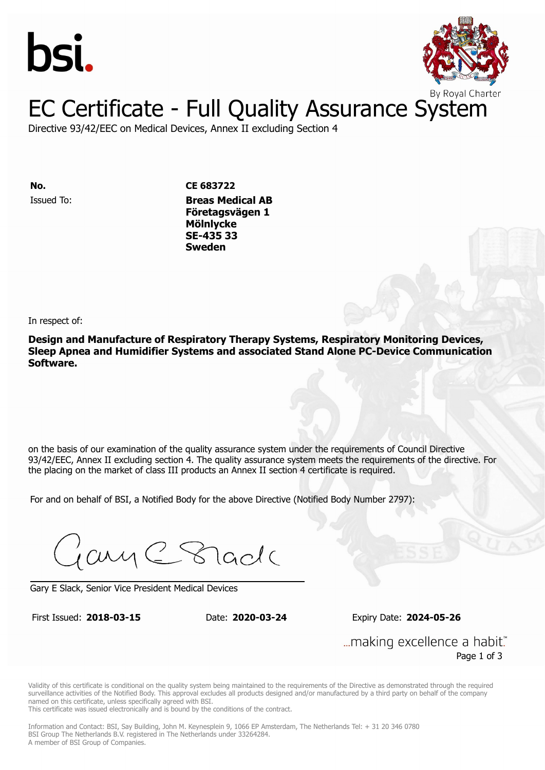



Directive 93/42/EEC on Medical Devices, Annex II excluding Section 4

Issued To: **Breas Medical AB No. CE 683722 Företagsvägen 1 Mölnlycke** Issued To: **Breas Medical AB SE-435 33 Företagsvägen 1 Sweden Mölnlycke SE-435 33 Sweden**

In respect of:

**Design and Manufacture of Respiratory Therapy Systems, Respiratory Monitoring Devices, Sleep Apnea and Humidifier Systems and associated Stand Alone PC-Device Communication Software.**

on the basis of our examination of the quality assurance system under the requirements of Council Directive 93/42/EEC, Annex II excluding section 4. The quality assurance system meets the requirements of the directive. For the placing on the market of class III products an Annex II section 4 certificate is required.

For and on behalf of BSI, a Notified Body for the above Directive (Notified Body Number 2797):

Gary C Stade

Gary E Slack, Senior Vice President Medical Devices

First Issued: **2018-03-15** Date: **2020-03-24** Expiry Date: **2024-05-26**

First Issued: **2018-03-15** Date: **2020-03-24** Expiry Date: **2024-05-26**

... making excellence a habit." Page 1 of 3

Validity of this certificate is conditional on the quality system being maintained to the requirements of the Directive as demonstrated through the required surveillance activities of the Notified Body. This approval excludes all products designed and/or manufactured by a third party on behalf of the company named on this certificate, unless specifically agreed with BSI.

This certificate was issued electronically and is bound by the conditions of the contract.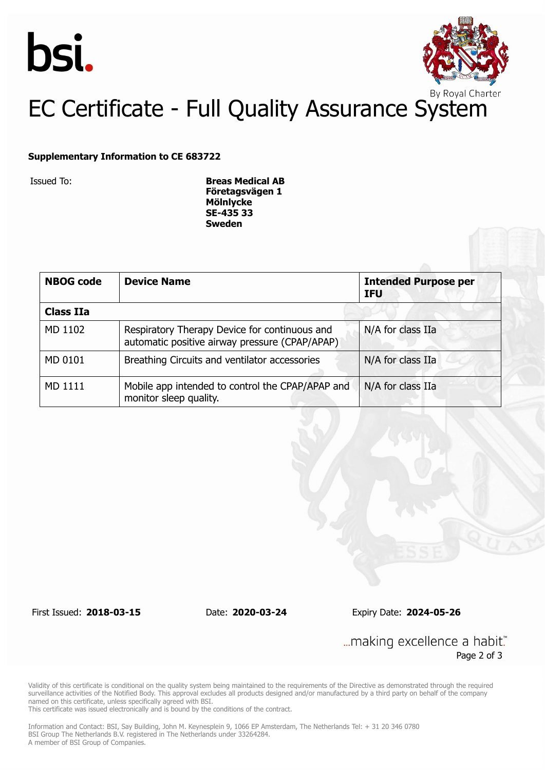



#### **Supplementary Information to CE 683722**

Issued To: **Breas Medical AB Företagsvägen 1 Mölnlycke SE-435 33 Sweden**

| <b>NBOG code</b> | <b>Device Name</b>                                                                              | <b>Intended Purpose per</b><br><b>IFU</b> |
|------------------|-------------------------------------------------------------------------------------------------|-------------------------------------------|
| <b>Class IIa</b> |                                                                                                 |                                           |
| MD 1102          | Respiratory Therapy Device for continuous and<br>automatic positive airway pressure (CPAP/APAP) | N/A for class IIa                         |
| MD 0101          | Breathing Circuits and ventilator accessories                                                   | N/A for class IIa                         |
| MD 1111          | Mobile app intended to control the CPAP/APAP and<br>monitor sleep quality.                      | N/A for class IIa                         |

First Issued: **2018-03-15** Date: **2020-03-24** Expiry Date: **2024-05-26**

... making excellence a habit." Page 2 of 3

Validity of this certificate is conditional on the quality system being maintained to the requirements of the Directive as demonstrated through the required surveillance activities of the Notified Body. This approval excludes all products designed and/or manufactured by a third party on behalf of the company named on this certificate, unless specifically agreed with BSI.

This certificate was issued electronically and is bound by the conditions of the contract.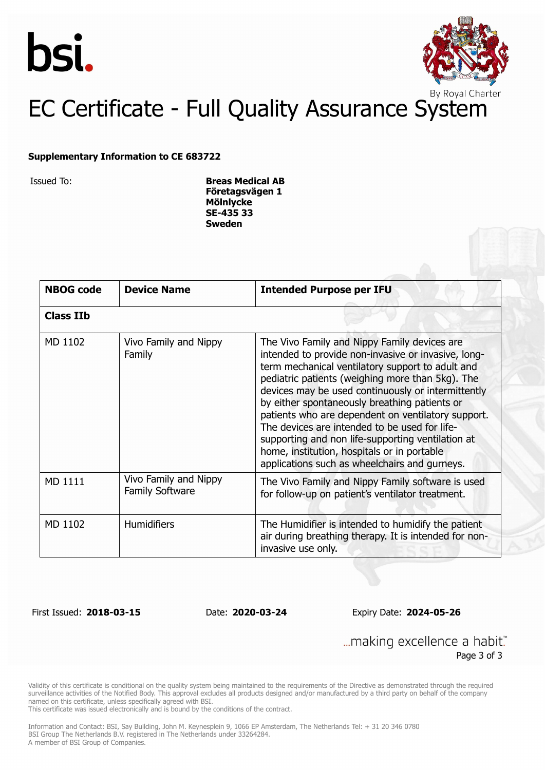



#### **Supplementary Information to CE 683722**

Issued To: **Breas Medical AB Företagsvägen 1 Mölnlycke SE-435 33 Sweden**

| <b>NBOG code</b> | <b>Device Name</b>                              | <b>Intended Purpose per IFU</b>                                                                                                                                                                                                                                                                                                                                                                                                                                                                                                                                                |  |
|------------------|-------------------------------------------------|--------------------------------------------------------------------------------------------------------------------------------------------------------------------------------------------------------------------------------------------------------------------------------------------------------------------------------------------------------------------------------------------------------------------------------------------------------------------------------------------------------------------------------------------------------------------------------|--|
| <b>Class IIb</b> |                                                 |                                                                                                                                                                                                                                                                                                                                                                                                                                                                                                                                                                                |  |
| MD 1102          | Vivo Family and Nippy<br>Family                 | The Vivo Family and Nippy Family devices are<br>intended to provide non-invasive or invasive, long-<br>term mechanical ventilatory support to adult and<br>pediatric patients (weighing more than 5kg). The<br>devices may be used continuously or intermittently<br>by either spontaneously breathing patients or<br>patients who are dependent on ventilatory support.<br>The devices are intended to be used for life-<br>supporting and non life-supporting ventilation at<br>home, institution, hospitals or in portable<br>applications such as wheelchairs and gurneys. |  |
| MD 1111          | Vivo Family and Nippy<br><b>Family Software</b> | The Vivo Family and Nippy Family software is used<br>for follow-up on patient's ventilator treatment.                                                                                                                                                                                                                                                                                                                                                                                                                                                                          |  |
| MD 1102          | <b>Humidifiers</b>                              | The Humidifier is intended to humidify the patient<br>air during breathing therapy. It is intended for non-<br>invasive use only.                                                                                                                                                                                                                                                                                                                                                                                                                                              |  |

First Issued: **2018-03-15** Date: **2020-03-24** Expiry Date: **2024-05-26**

... making excellence a habit." Page 3 of 3

Validity of this certificate is conditional on the quality system being maintained to the requirements of the Directive as demonstrated through the required surveillance activities of the Notified Body. This approval excludes all products designed and/or manufactured by a third party on behalf of the company named on this certificate, unless specifically agreed with BSI.

This certificate was issued electronically and is bound by the conditions of the contract.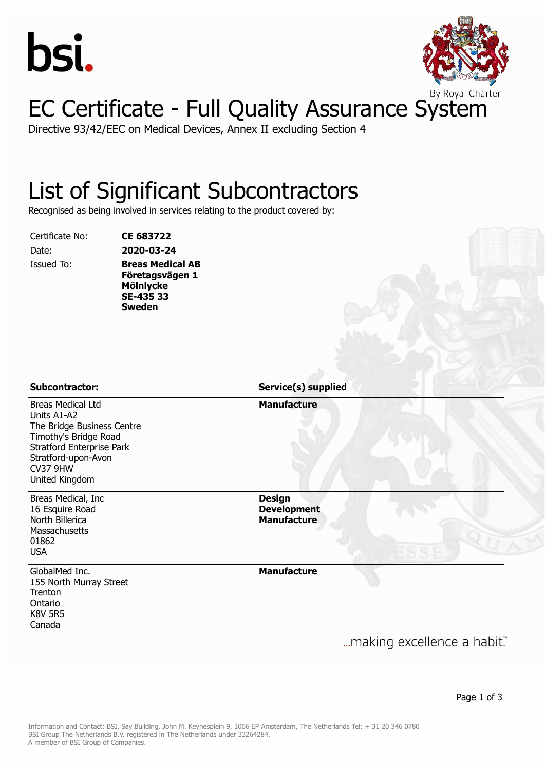



Directive 93/42/EEC on Medical Devices, Annex II excluding Section 4

#### List of Significant Subcontractors

Recognised as being involved in services relating to the product covered by:

Certificate No: **CE 683722**

Date: **2020-03-24** Issued To: **Breas Medical AB Företagsvägen 1 Mölnlycke SE-435 33 Sweden**

#### Breas Medical Ltd Units A1-A2 The Bridge Business Centre Timothy's Bridge Road Stratford Enterprise Park Stratford-upon-Avon CV37 9HW United Kingdom **Manufacture** Breas Medical, Inc 16 Esquire Road North Billerica **Massachusetts** 01862 USA **Design Development Manufacture** GlobalMed Inc. 155 North Murray Street **Trenton** Ontario K8V 5R5 Canada **Manufacture Subcontractor: Service(s) supplied**

... making excellence a habit."

Page 1 of 3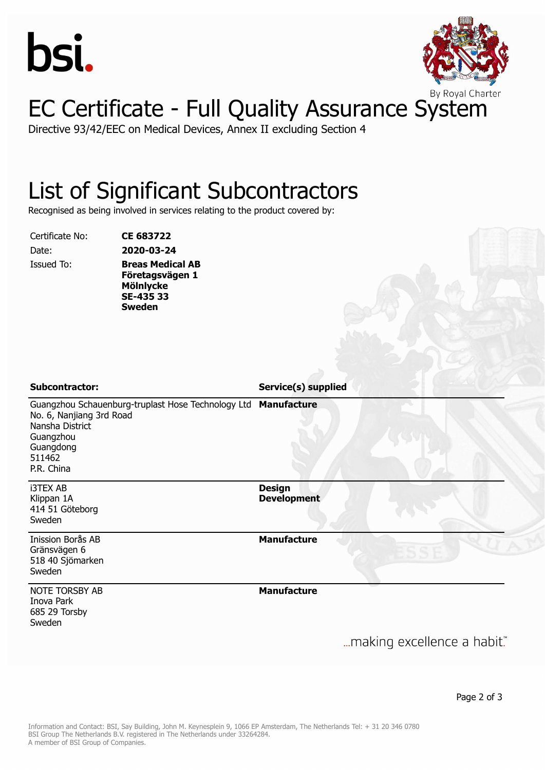



Directive 93/42/EEC on Medical Devices, Annex II excluding Section 4

#### List of Significant Subcontractors

Recognised as being involved in services relating to the product covered by:

Certificate No: **CE 683722**

Date: **2020-03-24** Issued To: **Breas Medical AB Företagsvägen 1 Mölnlycke SE-435 33 Sweden**

**Subcontractor: Service(s) supplied**

Guangzhou Schauenburg-truplast Hose Technology Ltd **Manufacture** No. 6, Nanjiang 3rd Road Nansha District **Guangzhou** Guangdong 511462 P.R. China

i3TEX AB Klippan 1A 414 51 Göteborg Sweden

Inission Borås AB Gränsvägen 6 518 40 Sjömarken Sweden

NOTE TORSBY AB

Inova Park 685 29 Torsby Sweden

**Design Development**

**Manufacture**

**Manufacture**

... making excellence a habit."

Page 2 of 3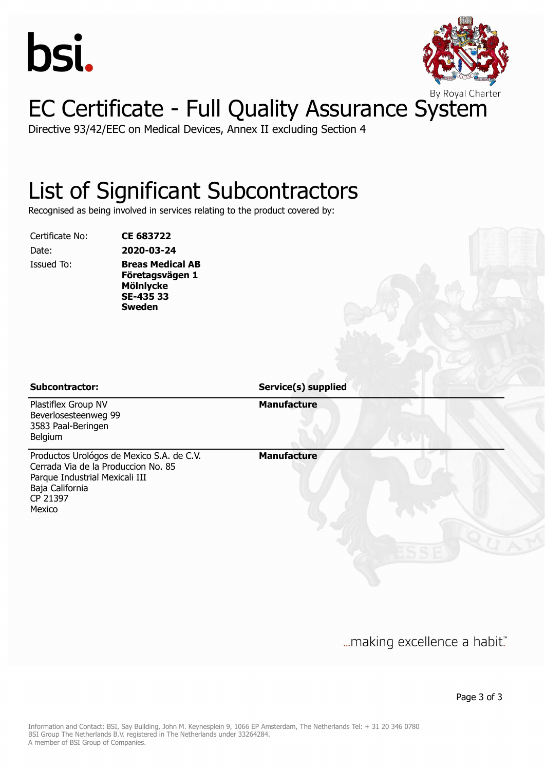



Directive 93/42/EEC on Medical Devices, Annex II excluding Section 4

#### List of Significant Subcontractors

Recognised as being involved in services relating to the product covered by:

Certificate No: **CE 683722**

Date: **2020-03-24** Issued To: **Breas Medical AB Företagsvägen 1 Mölnlycke SE-435 33 Sweden**

**Subcontractor: Service(s) supplied**

Plastiflex Group NV Beverlosesteenweg 99 3583 Paal-Beringen Belgium

Productos Urológos de Mexico S.A. de C.V. Cerrada Via de la Produccion No. 85 Parque Industrial Mexicali III Baja California CP 21397 Mexico

**Manufacture**

**Manufacture**

... making excellence a habit."

Page 3 of 3